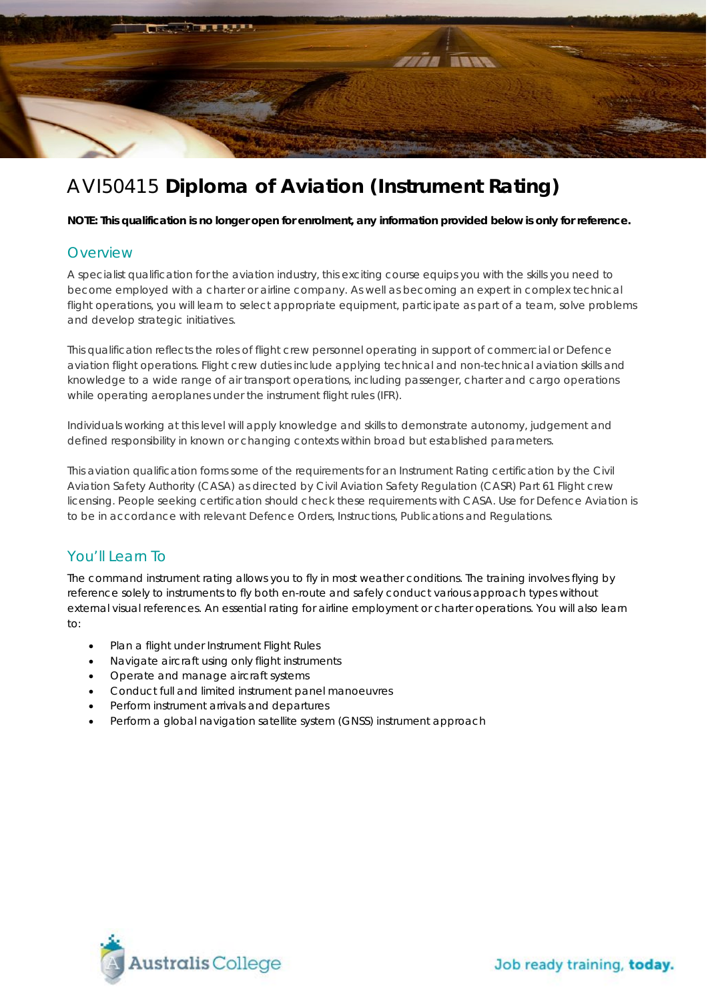

# AVI50415 **Diploma of Aviation (Instrument Rating)**

**NOTE: This qualification is no longer open for enrolment, any information provided below is only for reference.**

#### **Overview**

A specialist qualification for the aviation industry, this exciting course equips you with the skills you need to become employed with a charter or airline company. As well as becoming an expert in complex technical flight operations, you will learn to select appropriate equipment, participate as part of a team, solve problems and develop strategic initiatives.

This qualification reflects the roles of flight crew personnel operating in support of commercial or Defence aviation flight operations. Flight crew duties include applying technical and non-technical aviation skills and knowledge to a wide range of air transport operations, including passenger, charter and cargo operations while operating aeroplanes under the instrument flight rules (IFR).

Individuals working at this level will apply knowledge and skills to demonstrate autonomy, judgement and defined responsibility in known or changing contexts within broad but established parameters.

This aviation qualification forms some of the requirements for an Instrument Rating certification by the Civil Aviation Safety Authority (CASA) as directed by Civil Aviation Safety Regulation (CASR) Part 61 Flight crew licensing. People seeking certification should check these requirements with CASA. Use for Defence Aviation is to be in accordance with relevant Defence Orders, Instructions, Publications and Regulations.

## You'll Learn To

The command instrument rating allows you to fly in most weather conditions. The training involves flying by reference solely to instruments to fly both en-route and safely conduct various approach types without external visual references. An essential rating for airline employment or charter operations. You will also learn to:

- Plan a flight under Instrument Flight Rules
- Navigate aircraft using only flight instruments
- Operate and manage aircraft systems
- Conduct full and limited instrument panel manoeuvres
- Perform instrument arrivals and departures
- Perform a global navigation satellite system (GNSS) instrument approach



Job ready training, today.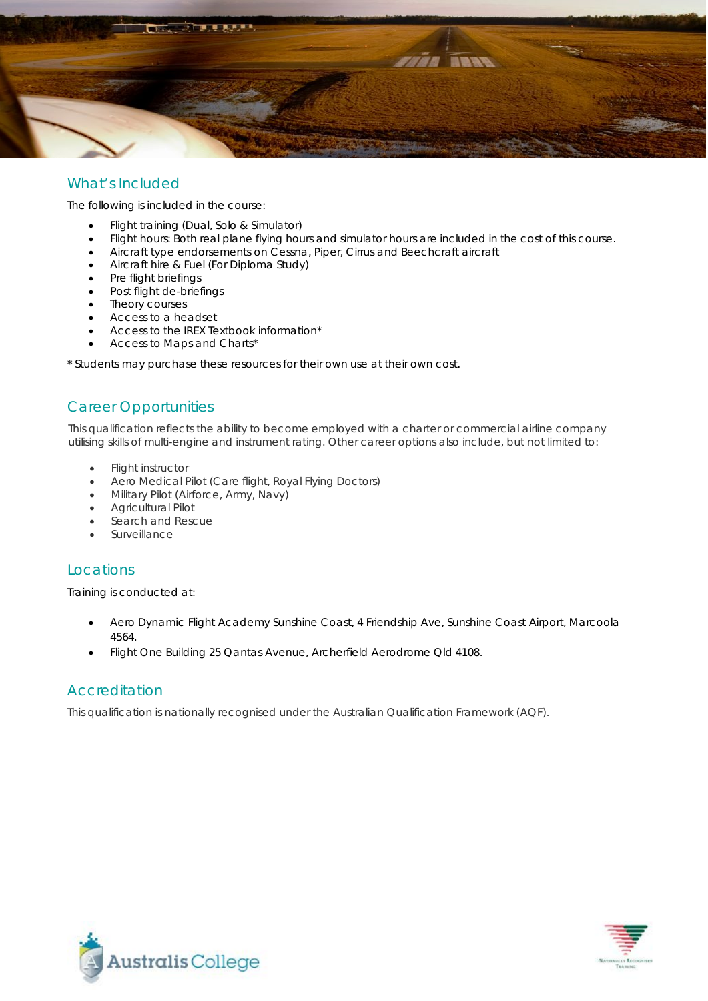

#### What's Included

The following is included in the course:

- Flight training (Dual, Solo & Simulator)
- Flight hours: Both real plane flying hours and simulator hours are included in the cost of this course.
- Aircraft type endorsements on Cessna, Piper, Cirrus and Beechcraft aircraft
- Aircraft hire & Fuel (For Diploma Study)
- Pre flight briefings
- Post flight de-briefings
- Theory courses
- Access to a headset
- Access to the IREX Textbook information\*
- Access to Maps and Charts\*

\* Students may purchase these resources for their own use at their own cost.

## Career Opportunities

This qualification reflects the ability to become employed with a charter or commercial airline company utilising skills of multi-engine and instrument rating. Other career options also include, but not limited to:

- Flight instructor
- Aero Medical Pilot (Care flight, Royal Flying Doctors)
- Military Pilot (Airforce, Army, Navy)
- Agricultural Pilot
- Search and Rescue
- **Surveillance**

#### Locations

Training is conducted at:

- Aero Dynamic Flight Academy Sunshine Coast, 4 Friendship Ave, Sunshine Coast Airport, Marcoola 4564.
- Flight One Building 25 Qantas Avenue, Archerfield Aerodrome Qld 4108.

#### **Accreditation**

This qualification is nationally recognised under the Australian Qualification Framework (AQF).



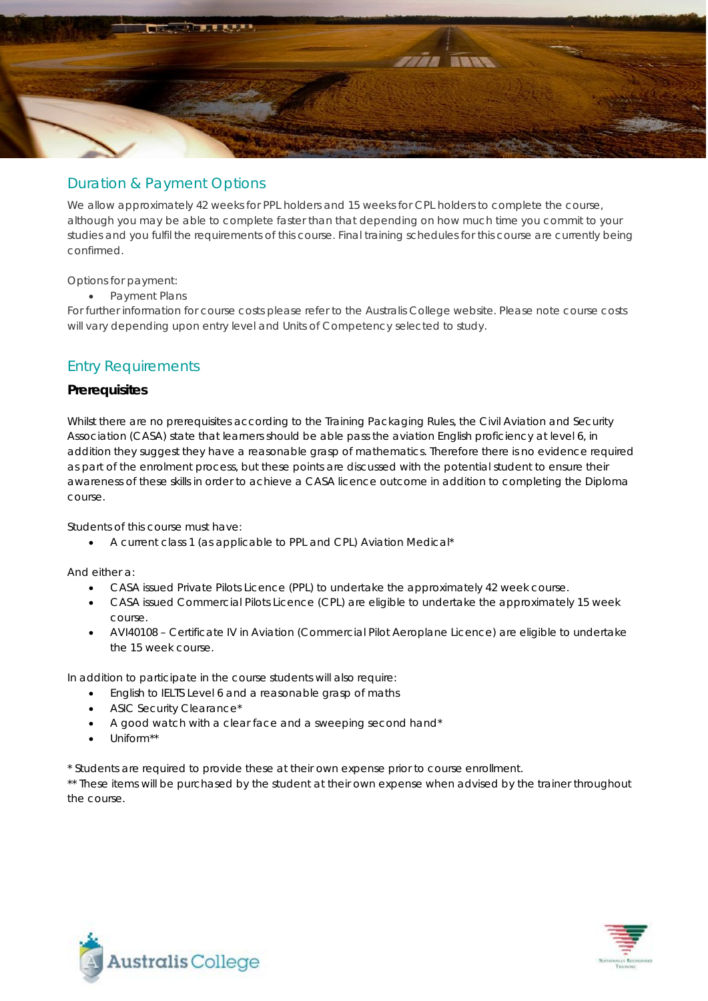

#### Duration & Payment Options

We allow approximately 42 weeks for PPL holders and 15 weeks for CPL holders to complete the course, although you may be able to complete faster than that depending on how much time you commit to your studies and you fulfil the requirements of this course. Final training schedules for this course are currently being confirmed.

Options for payment:

• Payment Plans

For further information for course costs please refer to the Australis College website. Please note course costs will vary depending upon entry level and Units of Competency selected to study.

## Entry Requirements

#### **Prerequisites**

Whilst there are no prerequisites according to the Training Packaging Rules, the Civil Aviation and Security Association (CASA) state that learners should be able pass the aviation English proficiency at level 6, in addition they suggest they have a reasonable grasp of mathematics. Therefore there is no evidence required as part of the enrolment process, but these points are discussed with the potential student to ensure their awareness of these skills in order to achieve a CASA licence outcome in addition to completing the Diploma course.

Students of this course must have:

• A current class 1 (as applicable to PPL and CPL) Aviation Medical\*

And either a:

- CASA issued Private Pilots Licence (PPL) to undertake the approximately 42 week course.
- CASA issued Commercial Pilots Licence (CPL) are eligible to undertake the approximately 15 week course.
- AVI40108 Certificate IV in Aviation (Commercial Pilot Aeroplane Licence) are eligible to undertake the 15 week course.

In addition to participate in the course students will also require:

- English to IELTS Level 6 and a reasonable grasp of maths
- ASIC Security Clearance\*
- A good watch with a clear face and a sweeping second hand\*
- Uniform\*\*

\* Students are required to provide these at their own expense prior to course enrollment.

\*\* These items will be purchased by the student at their own expense when advised by the trainer throughout the course.



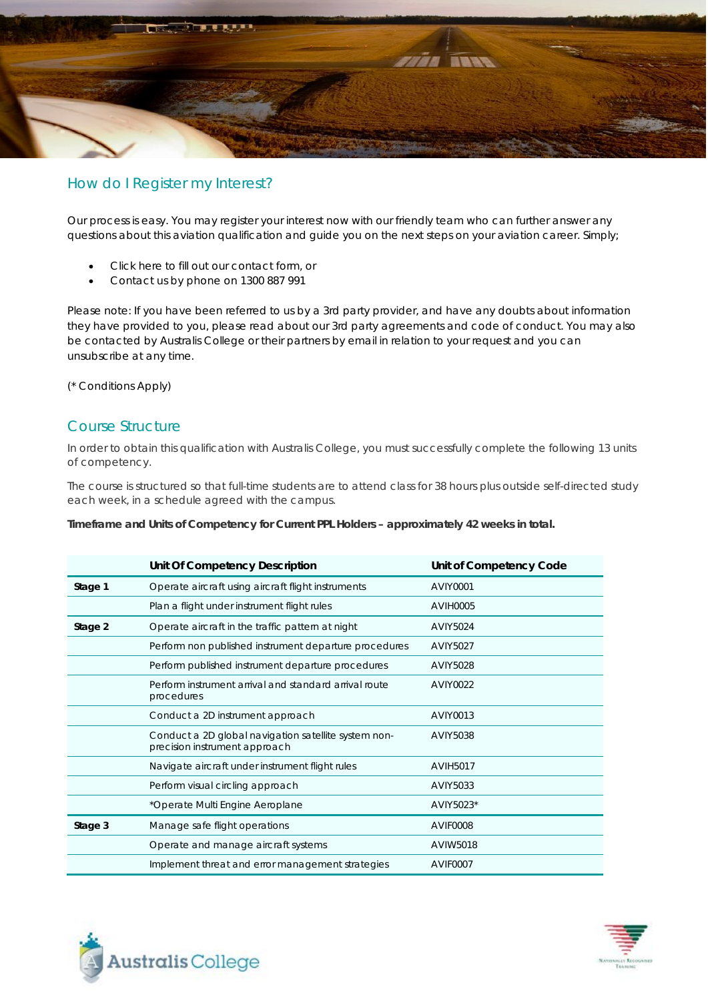

#### How do I Register my Interest?

Our process is easy. You may register your interest now with our friendly team who can further answer any questions about this aviation qualification and guide you on the next steps on your aviation career. Simply;

- Click here to fill out our contact form, or
- Contact us by phone on 1300 887 991

Please note: If you have been referred to us by a 3rd party provider, and have any doubts about information they have provided to you, please read about our 3rd party agreements and code of conduct. You may also be contacted by Australis College or their partners by email in relation to your request and you can unsubscribe at any time.

(\* Conditions Apply)

#### Course Structure

In order to obtain this qualification with Australis College, you must successfully complete the following 13 units of competency.

The course is structured so that full-time students are to attend class for 38 hours plus outside self-directed study each week, in a schedule agreed with the campus.

**Timeframe and Units of Competency for Current PPL Holders – approximately 42 weeks in total.**

|         | Unit Of Competency Description                                                        | Unit of Competency Code |
|---------|---------------------------------------------------------------------------------------|-------------------------|
| Stage 1 | Operate aircraft using aircraft flight instruments                                    | AVIY0001                |
|         | Plan a flight under instrument flight rules                                           | <b>AVIH0005</b>         |
| Stage 2 | Operate aircraft in the traffic pattern at night                                      | AVIY5024                |
|         | Perform non published instrument departure procedures                                 | AVIY5027                |
|         | Perform published instrument departure procedures                                     | AVIY5028                |
|         | Perform instrument arrival and standard arrival route<br>procedures                   | <b>AVIY0022</b>         |
|         | Conduct a 2D instrument approach                                                      | AVIY0013                |
|         | Conduct a 2D global navigation satellite system non-<br>precision instrument approach | AVIY5038                |
|         | Navigate aircraft under instrument flight rules                                       | <b>AVIH5017</b>         |
|         | Perform visual circling approach                                                      | AVIY5033                |
|         | *Operate Multi Engine Aeroplane                                                       | AVIY5023*               |
| Stage 3 | Manage safe flight operations                                                         | AVIF0008                |
|         | Operate and manage aircraft systems                                                   | <b>AVIW5018</b>         |
|         | Implement threat and error management strategies                                      | AVIF0007                |



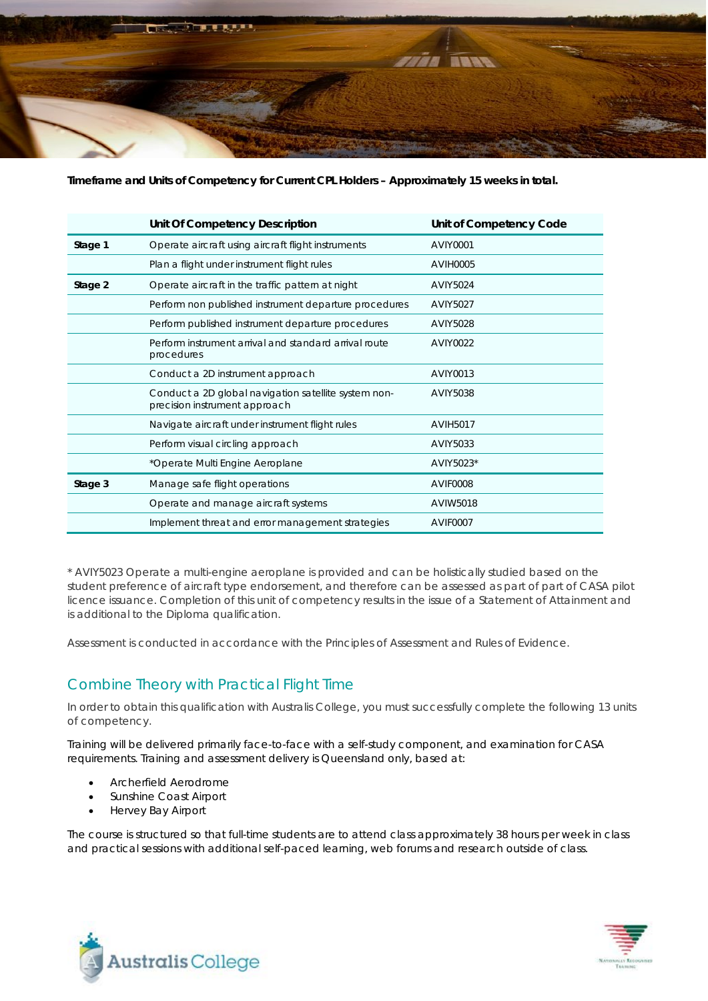

**Timeframe and Units of Competency for Current CPL Holders – Approximately 15 weeks in total.**

|         | Unit Of Competency Description                                                        | Unit of Competency Code |
|---------|---------------------------------------------------------------------------------------|-------------------------|
| Stage 1 | Operate aircraft using aircraft flight instruments                                    | <b>AVIY0001</b>         |
|         | Plan a flight under instrument flight rules                                           | <b>AVIH0005</b>         |
| Stage 2 | Operate aircraft in the traffic pattern at night                                      | <b>AVIY5024</b>         |
|         | Perform non published instrument departure procedures                                 | <b>AVIY5027</b>         |
|         | Perform published instrument departure procedures                                     | <b>AVIY5028</b>         |
|         | Perform instrument arrival and standard arrival route<br>procedures                   | AVIY0022                |
|         | Conduct a 2D instrument approach                                                      | AVIY0013                |
|         | Conduct a 2D global navigation satellite system non-<br>precision instrument approach | AVIY5038                |
|         | Navigate aircraft under instrument flight rules                                       | <b>AVIH5017</b>         |
|         | Perform visual circling approach                                                      | AVIY5033                |
|         | *Operate Multi Engine Aeroplane                                                       | AVIY5023*               |
| Stage 3 | Manage safe flight operations                                                         | AVIF0008                |
|         | Operate and manage aircraft systems                                                   | AVIW5018                |
|         | Implement threat and error management strategies                                      | AVIF0007                |

\* AVIY5023 Operate a multi-engine aeroplane is provided and can be holistically studied based on the student preference of aircraft type endorsement, and therefore can be assessed as part of part of CASA pilot licence issuance. Completion of this unit of competency results in the issue of a Statement of Attainment and is additional to the Diploma qualification.

Assessment is conducted in accordance with the Principles of Assessment and Rules of Evidence.

## Combine Theory with Practical Flight Time

In order to obtain this qualification with Australis College, you must successfully complete the following 13 units of competency.

Training will be delivered primarily face-to-face with a self-study component, and examination for CASA requirements. Training and assessment delivery is Queensland only, based at:

- Archerfield Aerodrome
- Sunshine Coast Airport
- Hervey Bay Airport

The course is structured so that full-time students are to attend class approximately 38 hours per week in class and practical sessions with additional self-paced learning, web forums and research outside of class.